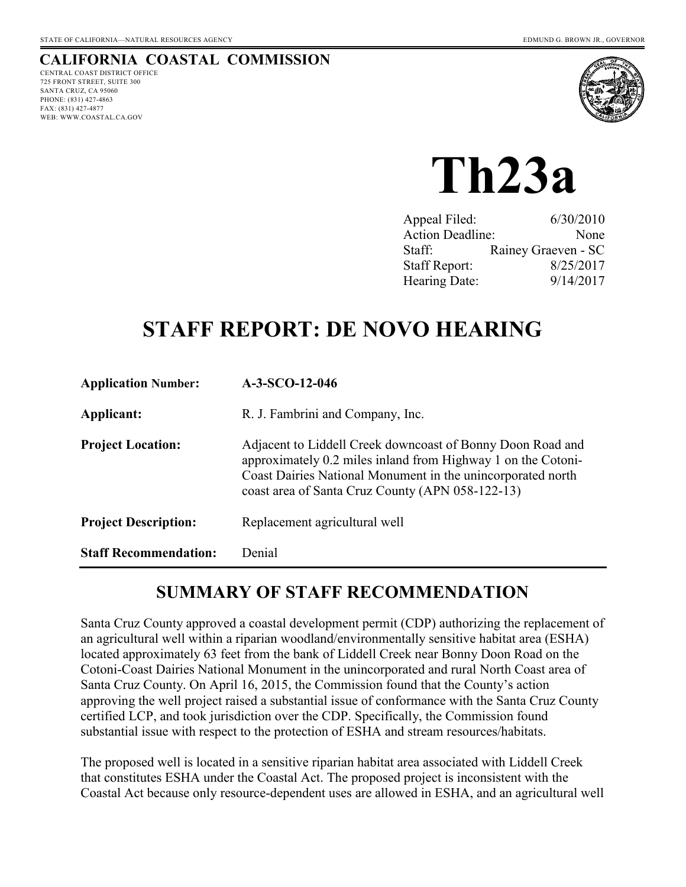#### **CALIFORNIA COASTAL COMMISSION** CENTRAL COAST DISTRICT OFFICE

725 FRONT STREET, SUITE 300 SANTA CRUZ, CA 95060 PHONE: (831) 427-4863 FAX: (831) 427-4877 WEB: WWW.COASTAL.CA.GOV



# **Th23a**

| Appeal Filed:           | 6/30/2010           |
|-------------------------|---------------------|
| <b>Action Deadline:</b> | None                |
| Staff:                  | Rainey Graeven - SC |
| <b>Staff Report:</b>    | 8/25/2017           |
| Hearing Date:           | 9/14/2017           |
|                         |                     |

# **STAFF REPORT: DE NOVO HEARING**

| <b>Application Number:</b>   | $A-3-SCO-12-046$                                                                                                                                                                                                                              |
|------------------------------|-----------------------------------------------------------------------------------------------------------------------------------------------------------------------------------------------------------------------------------------------|
| Applicant:                   | R. J. Fambrini and Company, Inc.                                                                                                                                                                                                              |
| <b>Project Location:</b>     | Adjacent to Liddell Creek downcoast of Bonny Doon Road and<br>approximately 0.2 miles inland from Highway 1 on the Cotoni-<br>Coast Dairies National Monument in the unincorporated north<br>coast area of Santa Cruz County (APN 058-122-13) |
| <b>Project Description:</b>  | Replacement agricultural well                                                                                                                                                                                                                 |
| <b>Staff Recommendation:</b> | Denial                                                                                                                                                                                                                                        |

## **SUMMARY OF STAFF RECOMMENDATION**

Santa Cruz County approved a coastal development permit (CDP) authorizing the replacement of an agricultural well within a riparian woodland/environmentally sensitive habitat area (ESHA) located approximately 63 feet from the bank of Liddell Creek near Bonny Doon Road on the Cotoni-Coast Dairies National Monument in the unincorporated and rural North Coast area of Santa Cruz County. On April 16, 2015, the Commission found that the County's action approving the well project raised a substantial issue of conformance with the Santa Cruz County certified LCP, and took jurisdiction over the CDP. Specifically, the Commission found substantial issue with respect to the protection of ESHA and stream resources/habitats.

The proposed well is located in a sensitive riparian habitat area associated with Liddell Creek that constitutes ESHA under the Coastal Act. The proposed project is inconsistent with the Coastal Act because only resource-dependent uses are allowed in ESHA, and an agricultural well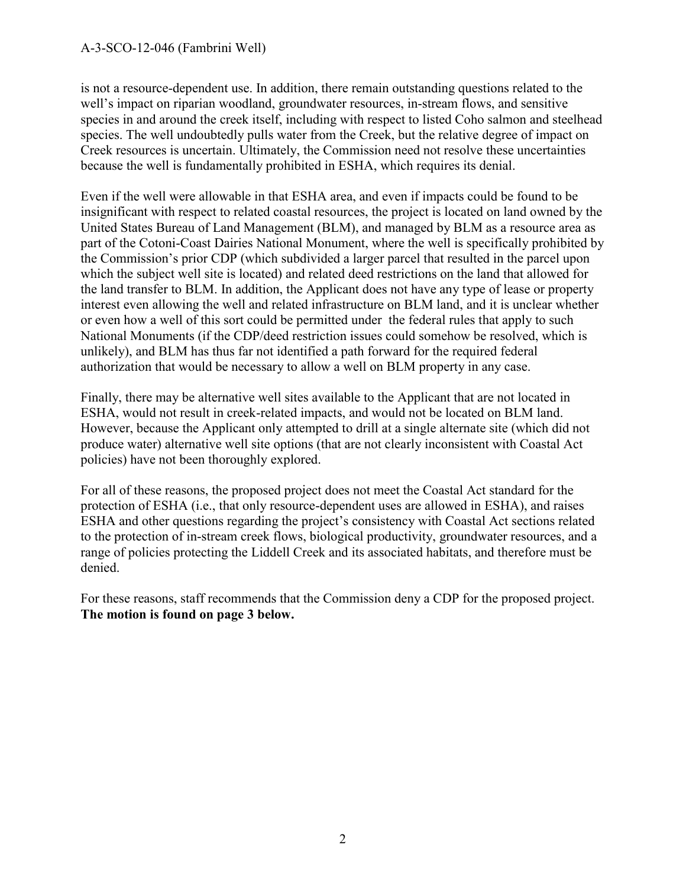is not a resource-dependent use. In addition, there remain outstanding questions related to the well's impact on riparian woodland, groundwater resources, in-stream flows, and sensitive species in and around the creek itself, including with respect to listed Coho salmon and steelhead species. The well undoubtedly pulls water from the Creek, but the relative degree of impact on Creek resources is uncertain. Ultimately, the Commission need not resolve these uncertainties because the well is fundamentally prohibited in ESHA, which requires its denial.

Even if the well were allowable in that ESHA area, and even if impacts could be found to be insignificant with respect to related coastal resources, the project is located on land owned by the United States Bureau of Land Management (BLM), and managed by BLM as a resource area as part of the Cotoni-Coast Dairies National Monument, where the well is specifically prohibited by the Commission's prior CDP (which subdivided a larger parcel that resulted in the parcel upon which the subject well site is located) and related deed restrictions on the land that allowed for the land transfer to BLM. In addition, the Applicant does not have any type of lease or property interest even allowing the well and related infrastructure on BLM land, and it is unclear whether or even how a well of this sort could be permitted under the federal rules that apply to such National Monuments (if the CDP/deed restriction issues could somehow be resolved, which is unlikely), and BLM has thus far not identified a path forward for the required federal authorization that would be necessary to allow a well on BLM property in any case.

Finally, there may be alternative well sites available to the Applicant that are not located in ESHA, would not result in creek-related impacts, and would not be located on BLM land. However, because the Applicant only attempted to drill at a single alternate site (which did not produce water) alternative well site options (that are not clearly inconsistent with Coastal Act policies) have not been thoroughly explored.

For all of these reasons, the proposed project does not meet the Coastal Act standard for the protection of ESHA (i.e., that only resource-dependent uses are allowed in ESHA), and raises ESHA and other questions regarding the project's consistency with Coastal Act sections related to the protection of in-stream creek flows, biological productivity, groundwater resources, and a range of policies protecting the Liddell Creek and its associated habitats, and therefore must be denied.

For these reasons, staff recommends that the Commission deny a CDP for the proposed project. **The motion is found on page 3 below.**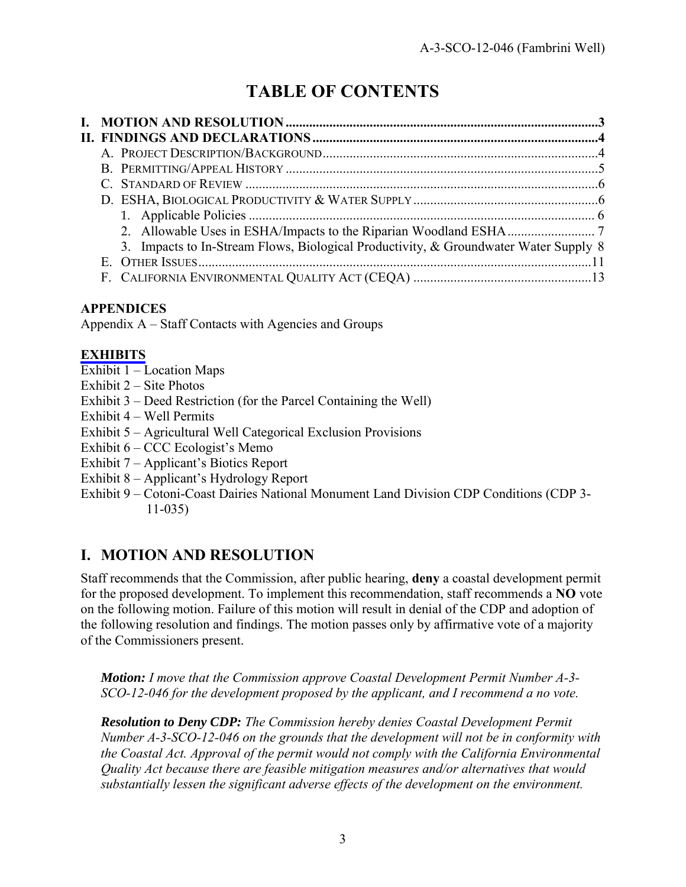## **TABLE OF CONTENTS**

| 3. Impacts to In-Stream Flows, Biological Productivity, & Groundwater Water Supply 8 |  |
|--------------------------------------------------------------------------------------|--|
|                                                                                      |  |
|                                                                                      |  |

## **APPENDICES**

Appendix A – Staff Contacts with Agencies and Groups

## **[EXHIBITS](https://documents.coastal.ca.gov/reports/2017/9/Th23a/Th23a-9-2017-exhibits.pdf)**

- Exhibit 1 Location Maps
- Exhibit 2 Site Photos
- Exhibit 3 Deed Restriction (for the Parcel Containing the Well)
- Exhibit 4 Well Permits
- Exhibit 5 Agricultural Well Categorical Exclusion Provisions
- Exhibit 6 CCC Ecologist's Memo
- Exhibit 7 Applicant's Biotics Report
- Exhibit 8 Applicant's Hydrology Report
- Exhibit 9 Cotoni-Coast Dairies National Monument Land Division CDP Conditions (CDP 3- 11-035)

## **I. MOTION AND RESOLUTION**

Staff recommends that the Commission, after public hearing, **deny** a coastal development permit for the proposed development. To implement this recommendation, staff recommends a **NO** vote on the following motion. Failure of this motion will result in denial of the CDP and adoption of the following resolution and findings. The motion passes only by affirmative vote of a majority of the Commissioners present.

*Motion: I move that the Commission approve Coastal Development Permit Number A-3- SCO-12-046 for the development proposed by the applicant, and I recommend a no vote.* 

*Resolution to Deny CDP: The Commission hereby denies Coastal Development Permit Number A-3-SCO-12-046 on the grounds that the development will not be in conformity with the Coastal Act. Approval of the permit would not comply with the California Environmental Quality Act because there are feasible mitigation measures and/or alternatives that would substantially lessen the significant adverse effects of the development on the environment.*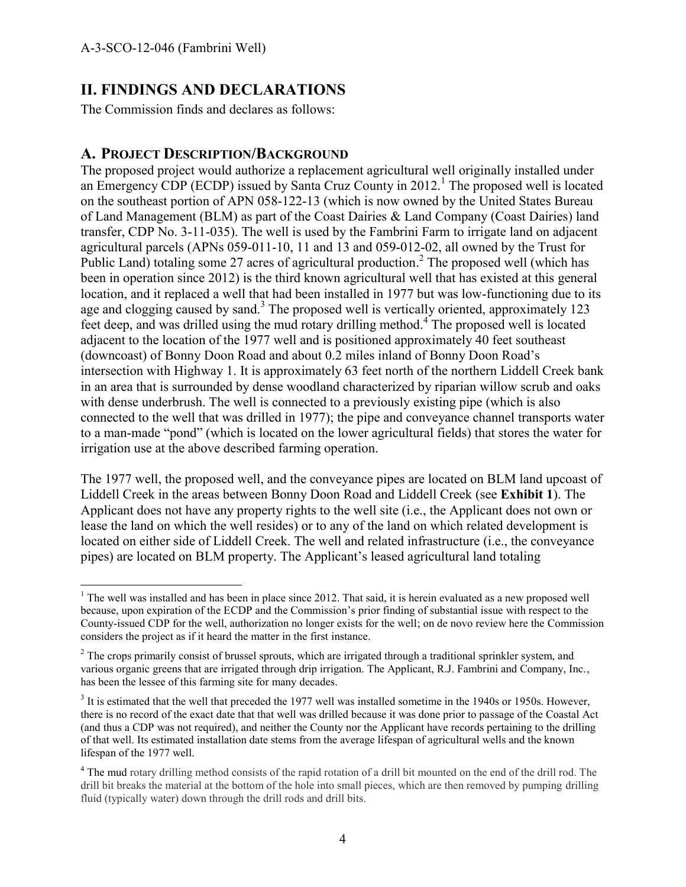$\overline{a}$ 

## **II. FINDINGS AND DECLARATIONS**

The Commission finds and declares as follows:

#### **A. PROJECT DESCRIPTION/BACKGROUND**

The proposed project would authorize a replacement agricultural well originally installed under an Emergency CDP (ECDP) issued by Santa Cruz County in  $2012$ .<sup>1</sup> The proposed well is located on the southeast portion of APN 058-122-13 (which is now owned by the United States Bureau of Land Management (BLM) as part of the Coast Dairies & Land Company (Coast Dairies) land transfer, CDP No. 3-11-035). The well is used by the Fambrini Farm to irrigate land on adjacent agricultural parcels (APNs 059-011-10, 11 and 13 and 059-012-02, all owned by the Trust for Public Land) totaling some 27 acres of agricultural production.<sup>2</sup> The proposed well (which has been in operation since 2012) is the third known agricultural well that has existed at this general location, and it replaced a well that had been installed in 1977 but was low-functioning due to its age and clogging caused by sand.<sup>3</sup> The proposed well is vertically oriented, approximately 123 feet deep, and was drilled using the mud rotary drilling method.<sup>4</sup> The proposed well is located adjacent to the location of the 1977 well and is positioned approximately 40 feet southeast (downcoast) of Bonny Doon Road and about 0.2 miles inland of Bonny Doon Road's intersection with Highway 1. It is approximately 63 feet north of the northern Liddell Creek bank in an area that is surrounded by dense woodland characterized by riparian willow scrub and oaks with dense underbrush. The well is connected to a previously existing pipe (which is also connected to the well that was drilled in 1977); the pipe and conveyance channel transports water to a man-made "pond" (which is located on the lower agricultural fields) that stores the water for irrigation use at the above described farming operation.

The 1977 well, the proposed well, and the conveyance pipes are located on BLM land upcoast of Liddell Creek in the areas between Bonny Doon Road and Liddell Creek (see **Exhibit 1**). The Applicant does not have any property rights to the well site (i.e., the Applicant does not own or lease the land on which the well resides) or to any of the land on which related development is located on either side of Liddell Creek. The well and related infrastructure (i.e., the conveyance pipes) are located on BLM property. The Applicant's leased agricultural land totaling

 $1$ <sup>1</sup> The well was installed and has been in place since 2012. That said, it is herein evaluated as a new proposed well because, upon expiration of the ECDP and the Commission's prior finding of substantial issue with respect to the County-issued CDP for the well, authorization no longer exists for the well; on de novo review here the Commission considers the project as if it heard the matter in the first instance.

<sup>&</sup>lt;sup>2</sup> The crops primarily consist of brussel sprouts, which are irrigated through a traditional sprinkler system, and various organic greens that are irrigated through drip irrigation. The Applicant, R.J. Fambrini and Company, Inc., has been the lessee of this farming site for many decades.

 $3$  It is estimated that the well that preceded the 1977 well was installed sometime in the 1940s or 1950s. However, there is no record of the exact date that that well was drilled because it was done prior to passage of the Coastal Act (and thus a CDP was not required), and neither the County nor the Applicant have records pertaining to the drilling of that well. Its estimated installation date stems from the average lifespan of agricultural wells and the known lifespan of the 1977 well.

<sup>&</sup>lt;sup>4</sup> The mud rotary drilling method consists of the rapid rotation of a drill bit mounted on the end of the drill rod. The drill bit breaks the material at the bottom of the hole into small pieces, which are then removed by pumping drilling fluid (typically water) down through the drill rods and drill bits.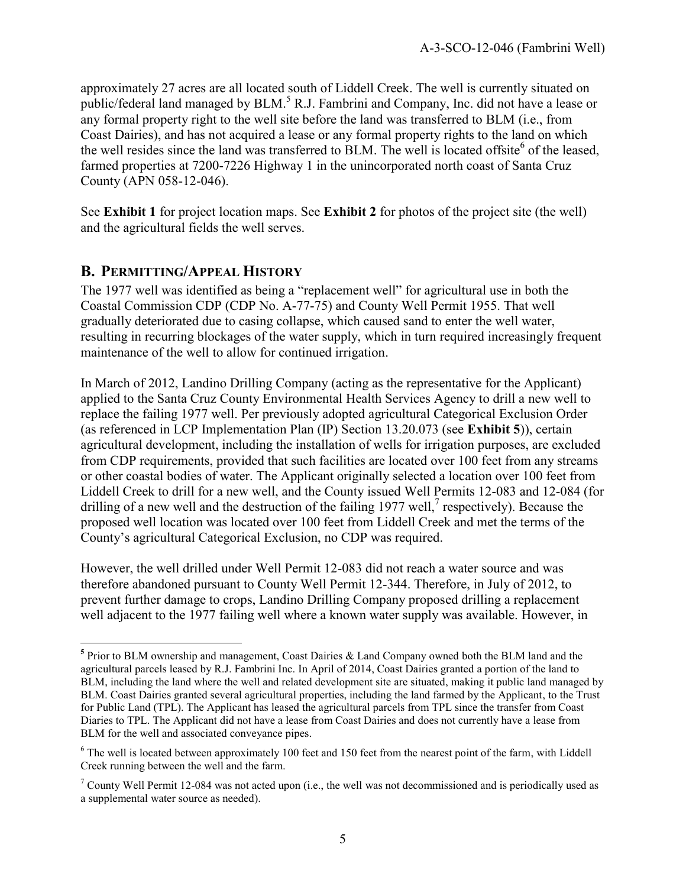approximately 27 acres are all located south of Liddell Creek. The well is currently situated on public/federal land managed by BLM.<sup>5</sup> R.J. Fambrini and Company, Inc. did not have a lease or any formal property right to the well site before the land was transferred to BLM (i.e., from Coast Dairies), and has not acquired a lease or any formal property rights to the land on which the well resides since the land was transferred to BLM. The well is located offsite<sup>6</sup> of the leased, farmed properties at 7200-7226 Highway 1 in the unincorporated north coast of Santa Cruz County (APN 058-12-046).

See **Exhibit 1** for project location maps. See **Exhibit 2** for photos of the project site (the well) and the agricultural fields the well serves.

## **B. PERMITTING/APPEAL HISTORY**

The 1977 well was identified as being a "replacement well" for agricultural use in both the Coastal Commission CDP (CDP No. A-77-75) and County Well Permit 1955. That well gradually deteriorated due to casing collapse, which caused sand to enter the well water, resulting in recurring blockages of the water supply, which in turn required increasingly frequent maintenance of the well to allow for continued irrigation.

In March of 2012, Landino Drilling Company (acting as the representative for the Applicant) applied to the Santa Cruz County Environmental Health Services Agency to drill a new well to replace the failing 1977 well. Per previously adopted agricultural Categorical Exclusion Order (as referenced in LCP Implementation Plan (IP) Section 13.20.073 (see **Exhibit 5**)), certain agricultural development, including the installation of wells for irrigation purposes, are excluded from CDP requirements, provided that such facilities are located over 100 feet from any streams or other coastal bodies of water. The Applicant originally selected a location over 100 feet from Liddell Creek to drill for a new well, and the County issued Well Permits 12-083 and 12-084 (for drilling of a new well and the destruction of the failing 1977 well,<sup>7</sup> respectively). Because the proposed well location was located over 100 feet from Liddell Creek and met the terms of the County's agricultural Categorical Exclusion, no CDP was required.

However, the well drilled under Well Permit 12-083 did not reach a water source and was therefore abandoned pursuant to County Well Permit 12-344. Therefore, in July of 2012, to prevent further damage to crops, Landino Drilling Company proposed drilling a replacement well adjacent to the 1977 failing well where a known water supply was available. However, in

 $\overline{a}$ **5** Prior to BLM ownership and management, Coast Dairies & Land Company owned both the BLM land and the agricultural parcels leased by R.J. Fambrini Inc. In April of 2014, Coast Dairies granted a portion of the land to BLM, including the land where the well and related development site are situated, making it public land managed by BLM. Coast Dairies granted several agricultural properties, including the land farmed by the Applicant, to the Trust for Public Land (TPL). The Applicant has leased the agricultural parcels from TPL since the transfer from Coast Diaries to TPL. The Applicant did not have a lease from Coast Dairies and does not currently have a lease from BLM for the well and associated conveyance pipes.

 $6$  The well is located between approximately 100 feet and 150 feet from the nearest point of the farm, with Liddell Creek running between the well and the farm.

<sup>&</sup>lt;sup>7</sup> County Well Permit 12-084 was not acted upon (i.e., the well was not decommissioned and is periodically used as a supplemental water source as needed).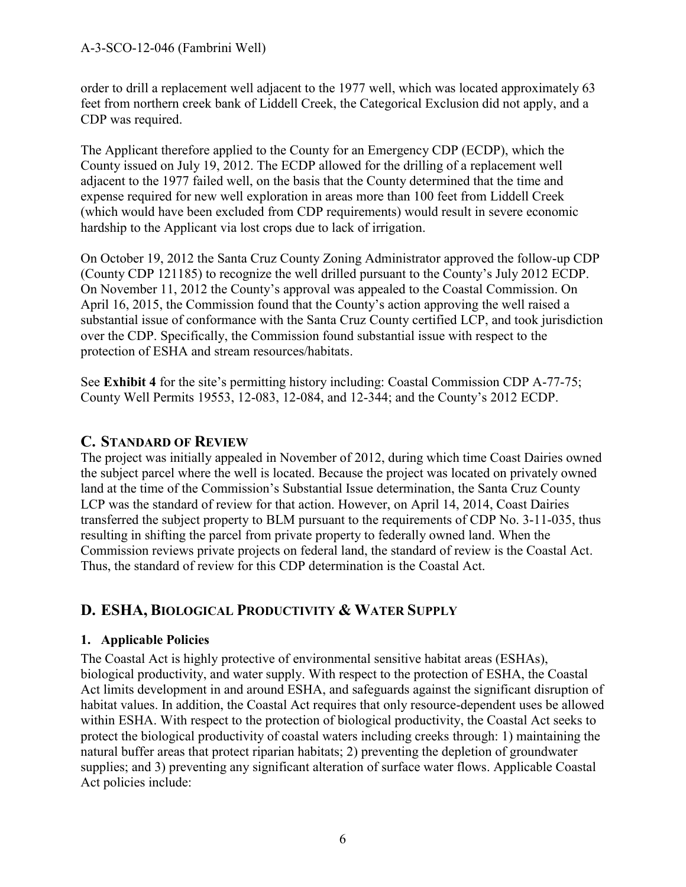order to drill a replacement well adjacent to the 1977 well, which was located approximately 63 feet from northern creek bank of Liddell Creek, the Categorical Exclusion did not apply, and a CDP was required.

The Applicant therefore applied to the County for an Emergency CDP (ECDP), which the County issued on July 19, 2012. The ECDP allowed for the drilling of a replacement well adjacent to the 1977 failed well, on the basis that the County determined that the time and expense required for new well exploration in areas more than 100 feet from Liddell Creek (which would have been excluded from CDP requirements) would result in severe economic hardship to the Applicant via lost crops due to lack of irrigation.

On October 19, 2012 the Santa Cruz County Zoning Administrator approved the follow-up CDP (County CDP 121185) to recognize the well drilled pursuant to the County's July 2012 ECDP. On November 11, 2012 the County's approval was appealed to the Coastal Commission. On April 16, 2015, the Commission found that the County's action approving the well raised a substantial issue of conformance with the Santa Cruz County certified LCP, and took jurisdiction over the CDP. Specifically, the Commission found substantial issue with respect to the protection of ESHA and stream resources/habitats.

See **Exhibit 4** for the site's permitting history including: Coastal Commission CDP A-77-75; County Well Permits 19553, 12-083, 12-084, and 12-344; and the County's 2012 ECDP.

## **C. STANDARD OF REVIEW**

The project was initially appealed in November of 2012, during which time Coast Dairies owned the subject parcel where the well is located. Because the project was located on privately owned land at the time of the Commission's Substantial Issue determination, the Santa Cruz County LCP was the standard of review for that action. However, on April 14, 2014, Coast Dairies transferred the subject property to BLM pursuant to the requirements of CDP No. 3-11-035, thus resulting in shifting the parcel from private property to federally owned land. When the Commission reviews private projects on federal land, the standard of review is the Coastal Act. Thus, the standard of review for this CDP determination is the Coastal Act.

## **D. ESHA, BIOLOGICAL PRODUCTIVITY & WATER SUPPLY**

## **1. Applicable Policies**

The Coastal Act is highly protective of environmental sensitive habitat areas (ESHAs), biological productivity, and water supply. With respect to the protection of ESHA, the Coastal Act limits development in and around ESHA, and safeguards against the significant disruption of habitat values. In addition, the Coastal Act requires that only resource-dependent uses be allowed within ESHA. With respect to the protection of biological productivity, the Coastal Act seeks to protect the biological productivity of coastal waters including creeks through: 1) maintaining the natural buffer areas that protect riparian habitats; 2) preventing the depletion of groundwater supplies; and 3) preventing any significant alteration of surface water flows. Applicable Coastal Act policies include: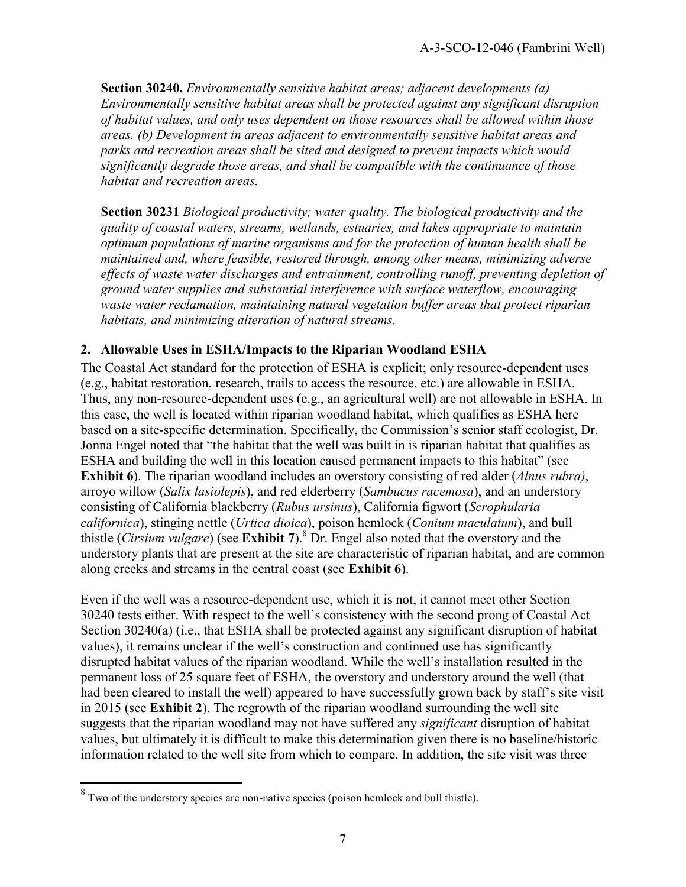**Section 30240.** *Environmentally sensitive habitat areas; adjacent developments (a) Environmentally sensitive habitat areas shall be protected against any significant disruption of habitat values, and only uses dependent on those resources shall be allowed within those areas. (b) Development in areas adjacent to environmentally sensitive habitat areas and parks and recreation areas shall be sited and designed to prevent impacts which would significantly degrade those areas, and shall be compatible with the continuance of those habitat and recreation areas.*

**Section 30231** *Biological productivity; water quality. The biological productivity and the quality of coastal waters, streams, wetlands, estuaries, and lakes appropriate to maintain optimum populations of marine organisms and for the protection of human health shall be maintained and, where feasible, restored through, among other means, minimizing adverse effects of waste water discharges and entrainment, controlling runoff, preventing depletion of ground water supplies and substantial interference with surface waterflow, encouraging waste water reclamation, maintaining natural vegetation buffer areas that protect riparian habitats, and minimizing alteration of natural streams.*

#### **2. Allowable Uses in ESHA/Impacts to the Riparian Woodland ESHA**

The Coastal Act standard for the protection of ESHA is explicit; only resource-dependent uses (e.g., habitat restoration, research, trails to access the resource, etc.) are allowable in ESHA. Thus, any non-resource-dependent uses (e.g., an agricultural well) are not allowable in ESHA. In this case, the well is located within riparian woodland habitat, which qualifies as ESHA here based on a site-specific determination. Specifically, the Commission's senior staff ecologist, Dr. Jonna Engel noted that "the habitat that the well was built in is riparian habitat that qualifies as ESHA and building the well in this location caused permanent impacts to this habitat" (see **Exhibit 6**). The riparian woodland includes an overstory consisting of red alder (*Alnus rubra)*, arroyo willow (*Salix lasiolepis*), and red elderberry (*Sambucus racemosa*), and an understory consisting of California blackberry (*Rubus ursinus*), California figwort (*Scrophularia californica*), stinging nettle (*Urtica dioica*), poison hemlock (*Conium maculatum*), and bull thistle (*Cirsium vulgare*) (see **Exhibit 7**).<sup>8</sup> Dr. Engel also noted that the overstory and the understory plants that are present at the site are characteristic of riparian habitat, and are common along creeks and streams in the central coast (see **Exhibit 6**).

Even if the well was a resource-dependent use, which it is not, it cannot meet other Section 30240 tests either. With respect to the well's consistency with the second prong of Coastal Act Section 30240(a) (i.e., that ESHA shall be protected against any significant disruption of habitat values), it remains unclear if the well's construction and continued use has significantly disrupted habitat values of the riparian woodland. While the well's installation resulted in the permanent loss of 25 square feet of ESHA, the overstory and understory around the well (that had been cleared to install the well) appeared to have successfully grown back by staff's site visit in 2015 (see **Exhibit 2**). The regrowth of the riparian woodland surrounding the well site suggests that the riparian woodland may not have suffered any *significant* disruption of habitat values, but ultimately it is difficult to make this determination given there is no baseline/historic information related to the well site from which to compare. In addition, the site visit was three

<sup>&</sup>lt;sup>8</sup> Two of the understory species are non-native species (poison hemlock and bull thistle).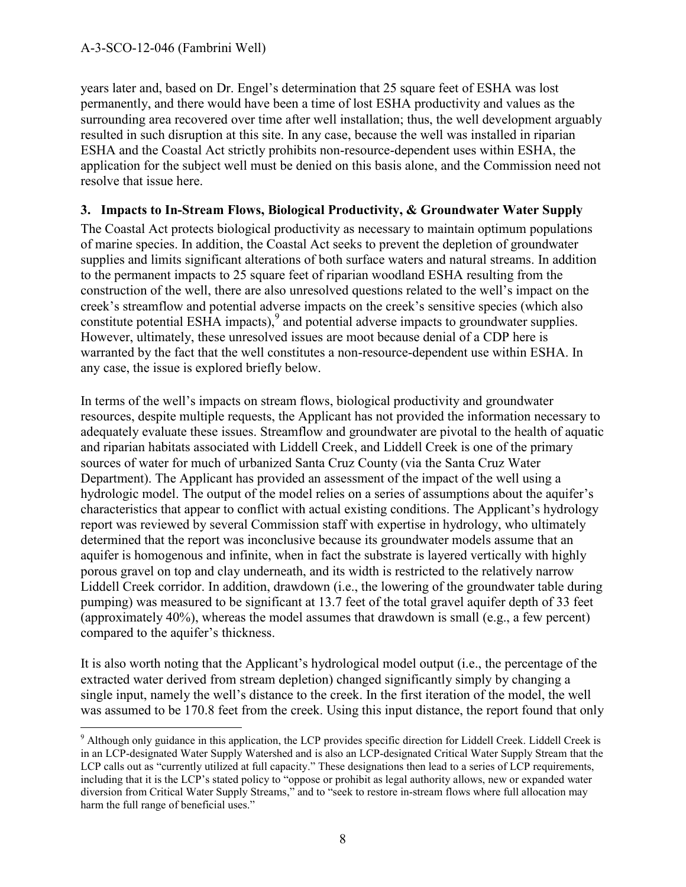years later and, based on Dr. Engel's determination that 25 square feet of ESHA was lost permanently, and there would have been a time of lost ESHA productivity and values as the surrounding area recovered over time after well installation; thus, the well development arguably resulted in such disruption at this site. In any case, because the well was installed in riparian ESHA and the Coastal Act strictly prohibits non-resource-dependent uses within ESHA, the application for the subject well must be denied on this basis alone, and the Commission need not resolve that issue here.

#### **3. Impacts to In-Stream Flows, Biological Productivity, & Groundwater Water Supply**

The Coastal Act protects biological productivity as necessary to maintain optimum populations of marine species. In addition, the Coastal Act seeks to prevent the depletion of groundwater supplies and limits significant alterations of both surface waters and natural streams. In addition to the permanent impacts to 25 square feet of riparian woodland ESHA resulting from the construction of the well, there are also unresolved questions related to the well's impact on the creek's streamflow and potential adverse impacts on the creek's sensitive species (which also constitute potential ESHA impacts), $9$  and potential adverse impacts to groundwater supplies. However, ultimately, these unresolved issues are moot because denial of a CDP here is warranted by the fact that the well constitutes a non-resource-dependent use within ESHA. In any case, the issue is explored briefly below.

In terms of the well's impacts on stream flows, biological productivity and groundwater resources, despite multiple requests, the Applicant has not provided the information necessary to adequately evaluate these issues. Streamflow and groundwater are pivotal to the health of aquatic and riparian habitats associated with Liddell Creek, and Liddell Creek is one of the primary sources of water for much of urbanized Santa Cruz County (via the Santa Cruz Water Department). The Applicant has provided an assessment of the impact of the well using a hydrologic model. The output of the model relies on a series of assumptions about the aquifer's characteristics that appear to conflict with actual existing conditions. The Applicant's hydrology report was reviewed by several Commission staff with expertise in hydrology, who ultimately determined that the report was inconclusive because its groundwater models assume that an aquifer is homogenous and infinite, when in fact the substrate is layered vertically with highly porous gravel on top and clay underneath, and its width is restricted to the relatively narrow Liddell Creek corridor. In addition, drawdown (i.e., the lowering of the groundwater table during pumping) was measured to be significant at 13.7 feet of the total gravel aquifer depth of 33 feet (approximately 40%), whereas the model assumes that drawdown is small (e.g., a few percent) compared to the aquifer's thickness.

It is also worth noting that the Applicant's hydrological model output (i.e., the percentage of the extracted water derived from stream depletion) changed significantly simply by changing a single input, namely the well's distance to the creek. In the first iteration of the model, the well was assumed to be 170.8 feet from the creek. Using this input distance, the report found that only

<sup>&</sup>lt;sup>9</sup> Although only guidance in this application, the LCP provides specific direction for Liddell Creek. Liddell Creek is in an LCP-designated Water Supply Watershed and is also an LCP-designated Critical Water Supply Stream that the LCP calls out as "currently utilized at full capacity." These designations then lead to a series of LCP requirements, including that it is the LCP's stated policy to "oppose or prohibit as legal authority allows, new or expanded water diversion from Critical Water Supply Streams," and to "seek to restore in-stream flows where full allocation may harm the full range of beneficial uses."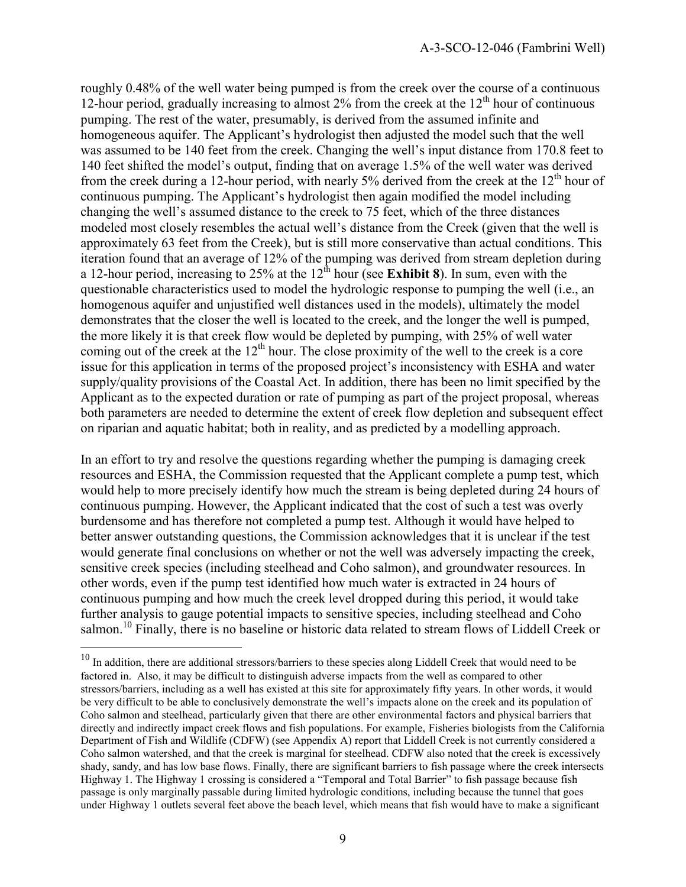roughly 0.48% of the well water being pumped is from the creek over the course of a continuous 12-hour period, gradually increasing to almost  $2\%$  from the creek at the  $12<sup>th</sup>$  hour of continuous pumping. The rest of the water, presumably, is derived from the assumed infinite and homogeneous aquifer. The Applicant's hydrologist then adjusted the model such that the well was assumed to be 140 feet from the creek. Changing the well's input distance from 170.8 feet to 140 feet shifted the model's output, finding that on average 1.5% of the well water was derived from the creek during a 12-hour period, with nearly 5% derived from the creek at the  $12<sup>th</sup>$  hour of continuous pumping. The Applicant's hydrologist then again modified the model including changing the well's assumed distance to the creek to 75 feet, which of the three distances modeled most closely resembles the actual well's distance from the Creek (given that the well is approximately 63 feet from the Creek), but is still more conservative than actual conditions. This iteration found that an average of 12% of the pumping was derived from stream depletion during a 12-hour period, increasing to 25% at the  $12<sup>th</sup>$  hour (see **Exhibit 8**). In sum, even with the questionable characteristics used to model the hydrologic response to pumping the well (i.e., an homogenous aquifer and unjustified well distances used in the models), ultimately the model demonstrates that the closer the well is located to the creek, and the longer the well is pumped, the more likely it is that creek flow would be depleted by pumping, with 25% of well water coming out of the creek at the  $12<sup>th</sup>$  hour. The close proximity of the well to the creek is a core issue for this application in terms of the proposed project's inconsistency with ESHA and water supply/quality provisions of the Coastal Act. In addition, there has been no limit specified by the Applicant as to the expected duration or rate of pumping as part of the project proposal, whereas both parameters are needed to determine the extent of creek flow depletion and subsequent effect on riparian and aquatic habitat; both in reality, and as predicted by a modelling approach.

In an effort to try and resolve the questions regarding whether the pumping is damaging creek resources and ESHA, the Commission requested that the Applicant complete a pump test, which would help to more precisely identify how much the stream is being depleted during 24 hours of continuous pumping. However, the Applicant indicated that the cost of such a test was overly burdensome and has therefore not completed a pump test. Although it would have helped to better answer outstanding questions, the Commission acknowledges that it is unclear if the test would generate final conclusions on whether or not the well was adversely impacting the creek, sensitive creek species (including steelhead and Coho salmon), and groundwater resources. In other words, even if the pump test identified how much water is extracted in 24 hours of continuous pumping and how much the creek level dropped during this period, it would take further analysis to gauge potential impacts to sensitive species, including steelhead and Coho salmon.<sup>10</sup> Finally, there is no baseline or historic data related to stream flows of Liddell Creek or

 $\overline{a}$ 

 $10$  In addition, there are additional stressors/barriers to these species along Liddell Creek that would need to be factored in. Also, it may be difficult to distinguish adverse impacts from the well as compared to other stressors/barriers, including as a well has existed at this site for approximately fifty years. In other words, it would be very difficult to be able to conclusively demonstrate the well's impacts alone on the creek and its population of Coho salmon and steelhead, particularly given that there are other environmental factors and physical barriers that directly and indirectly impact creek flows and fish populations. For example, Fisheries biologists from the California Department of Fish and Wildlife (CDFW) (see Appendix A) report that Liddell Creek is not currently considered a Coho salmon watershed, and that the creek is marginal for steelhead. CDFW also noted that the creek is excessively shady, sandy, and has low base flows. Finally, there are significant barriers to fish passage where the creek intersects Highway 1. The Highway 1 crossing is considered a "Temporal and Total Barrier" to fish passage because fish passage is only marginally passable during limited hydrologic conditions, including because the tunnel that goes under Highway 1 outlets several feet above the beach level, which means that fish would have to make a significant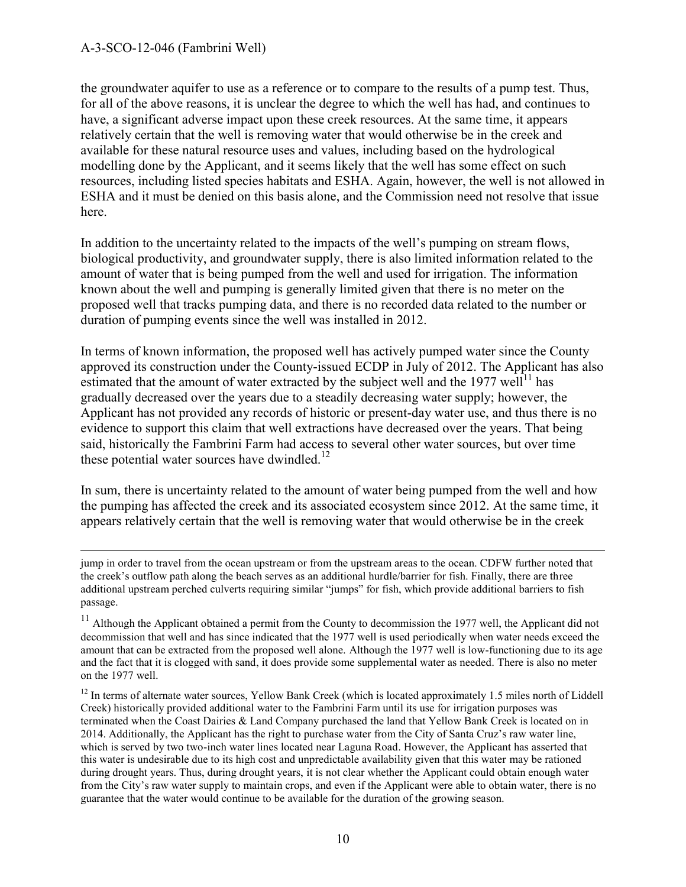$\overline{a}$ 

the groundwater aquifer to use as a reference or to compare to the results of a pump test. Thus, for all of the above reasons, it is unclear the degree to which the well has had, and continues to have, a significant adverse impact upon these creek resources. At the same time, it appears relatively certain that the well is removing water that would otherwise be in the creek and available for these natural resource uses and values, including based on the hydrological modelling done by the Applicant, and it seems likely that the well has some effect on such resources, including listed species habitats and ESHA. Again, however, the well is not allowed in ESHA and it must be denied on this basis alone, and the Commission need not resolve that issue here.

In addition to the uncertainty related to the impacts of the well's pumping on stream flows, biological productivity, and groundwater supply, there is also limited information related to the amount of water that is being pumped from the well and used for irrigation. The information known about the well and pumping is generally limited given that there is no meter on the proposed well that tracks pumping data, and there is no recorded data related to the number or duration of pumping events since the well was installed in 2012.

In terms of known information, the proposed well has actively pumped water since the County approved its construction under the County-issued ECDP in July of 2012. The Applicant has also estimated that the amount of water extracted by the subject well and the 1977 well<sup>11</sup> has gradually decreased over the years due to a steadily decreasing water supply; however, the Applicant has not provided any records of historic or present-day water use, and thus there is no evidence to support this claim that well extractions have decreased over the years. That being said, historically the Fambrini Farm had access to several other water sources, but over time these potential water sources have dwindled.<sup>12</sup>

In sum, there is uncertainty related to the amount of water being pumped from the well and how the pumping has affected the creek and its associated ecosystem since 2012. At the same time, it appears relatively certain that the well is removing water that would otherwise be in the creek

jump in order to travel from the ocean upstream or from the upstream areas to the ocean. CDFW further noted that the creek's outflow path along the beach serves as an additional hurdle/barrier for fish. Finally, there are three additional upstream perched culverts requiring similar "jumps" for fish, which provide additional barriers to fish passage.

<sup>&</sup>lt;sup>11</sup> Although the Applicant obtained a permit from the County to decommission the 1977 well, the Applicant did not decommission that well and has since indicated that the 1977 well is used periodically when water needs exceed the amount that can be extracted from the proposed well alone. Although the 1977 well is low-functioning due to its age and the fact that it is clogged with sand, it does provide some supplemental water as needed. There is also no meter on the 1977 well.

<sup>&</sup>lt;sup>12</sup> In terms of alternate water sources, Yellow Bank Creek (which is located approximately 1.5 miles north of Liddell Creek) historically provided additional water to the Fambrini Farm until its use for irrigation purposes was terminated when the Coast Dairies & Land Company purchased the land that Yellow Bank Creek is located on in 2014. Additionally, the Applicant has the right to purchase water from the City of Santa Cruz's raw water line, which is served by two two-inch water lines located near Laguna Road. However, the Applicant has asserted that this water is undesirable due to its high cost and unpredictable availability given that this water may be rationed during drought years. Thus, during drought years, it is not clear whether the Applicant could obtain enough water from the City's raw water supply to maintain crops, and even if the Applicant were able to obtain water, there is no guarantee that the water would continue to be available for the duration of the growing season.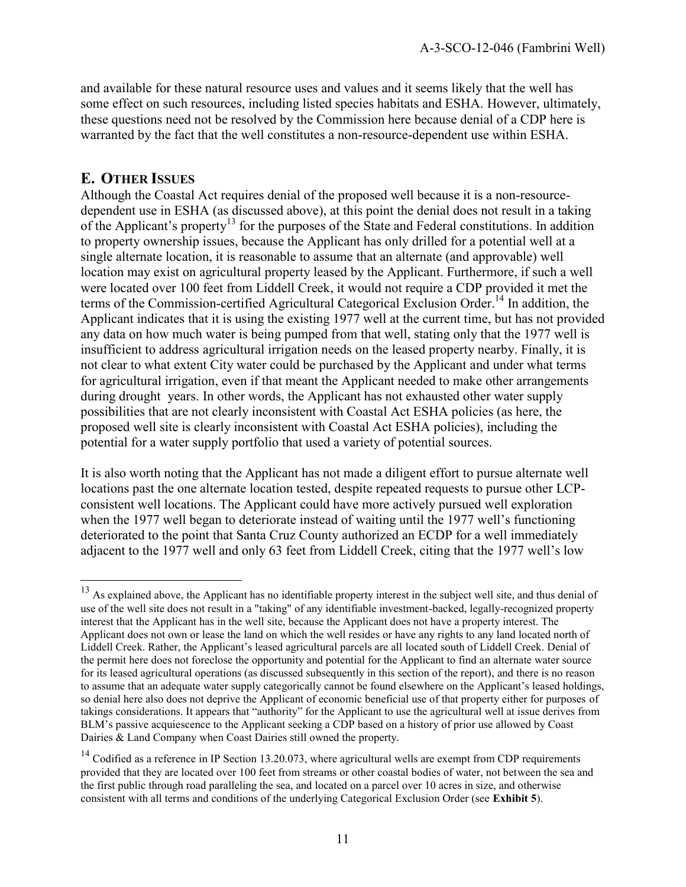and available for these natural resource uses and values and it seems likely that the well has some effect on such resources, including listed species habitats and ESHA. However, ultimately, these questions need not be resolved by the Commission here because denial of a CDP here is warranted by the fact that the well constitutes a non-resource-dependent use within ESHA.

## **E. OTHER ISSUES**

 $\overline{a}$ 

Although the Coastal Act requires denial of the proposed well because it is a non-resourcedependent use in ESHA (as discussed above), at this point the denial does not result in a taking of the Applicant's property<sup>13</sup> for the purposes of the State and Federal constitutions. In addition to property ownership issues, because the Applicant has only drilled for a potential well at a single alternate location, it is reasonable to assume that an alternate (and approvable) well location may exist on agricultural property leased by the Applicant. Furthermore, if such a well were located over 100 feet from Liddell Creek, it would not require a CDP provided it met the terms of the Commission-certified Agricultural Categorical Exclusion Order.<sup>14</sup> In addition, the Applicant indicates that it is using the existing 1977 well at the current time, but has not provided any data on how much water is being pumped from that well, stating only that the 1977 well is insufficient to address agricultural irrigation needs on the leased property nearby. Finally, it is not clear to what extent City water could be purchased by the Applicant and under what terms for agricultural irrigation, even if that meant the Applicant needed to make other arrangements during drought years. In other words, the Applicant has not exhausted other water supply possibilities that are not clearly inconsistent with Coastal Act ESHA policies (as here, the proposed well site is clearly inconsistent with Coastal Act ESHA policies), including the potential for a water supply portfolio that used a variety of potential sources.

It is also worth noting that the Applicant has not made a diligent effort to pursue alternate well locations past the one alternate location tested, despite repeated requests to pursue other LCPconsistent well locations. The Applicant could have more actively pursued well exploration when the 1977 well began to deteriorate instead of waiting until the 1977 well's functioning deteriorated to the point that Santa Cruz County authorized an ECDP for a well immediately adjacent to the 1977 well and only 63 feet from Liddell Creek, citing that the 1977 well's low

 $13$  As explained above, the Applicant has no identifiable property interest in the subject well site, and thus denial of use of the well site does not result in a "taking" of any identifiable investment-backed, legally-recognized property interest that the Applicant has in the well site, because the Applicant does not have a property interest. The Applicant does not own or lease the land on which the well resides or have any rights to any land located north of Liddell Creek. Rather, the Applicant's leased agricultural parcels are all located south of Liddell Creek. Denial of the permit here does not foreclose the opportunity and potential for the Applicant to find an alternate water source for its leased agricultural operations (as discussed subsequently in this section of the report), and there is no reason to assume that an adequate water supply categorically cannot be found elsewhere on the Applicant's leased holdings, so denial here also does not deprive the Applicant of economic beneficial use of that property either for purposes of takings considerations. It appears that "authority" for the Applicant to use the agricultural well at issue derives from BLM's passive acquiescence to the Applicant seeking a CDP based on a history of prior use allowed by Coast Dairies & Land Company when Coast Dairies still owned the property.

 $14$  Codified as a reference in IP Section 13.20.073, where agricultural wells are exempt from CDP requirements provided that they are located over 100 feet from streams or other coastal bodies of water, not between the sea and the first public through road paralleling the sea, and located on a parcel over 10 acres in size, and otherwise consistent with all terms and conditions of the underlying Categorical Exclusion Order (see **Exhibit 5**).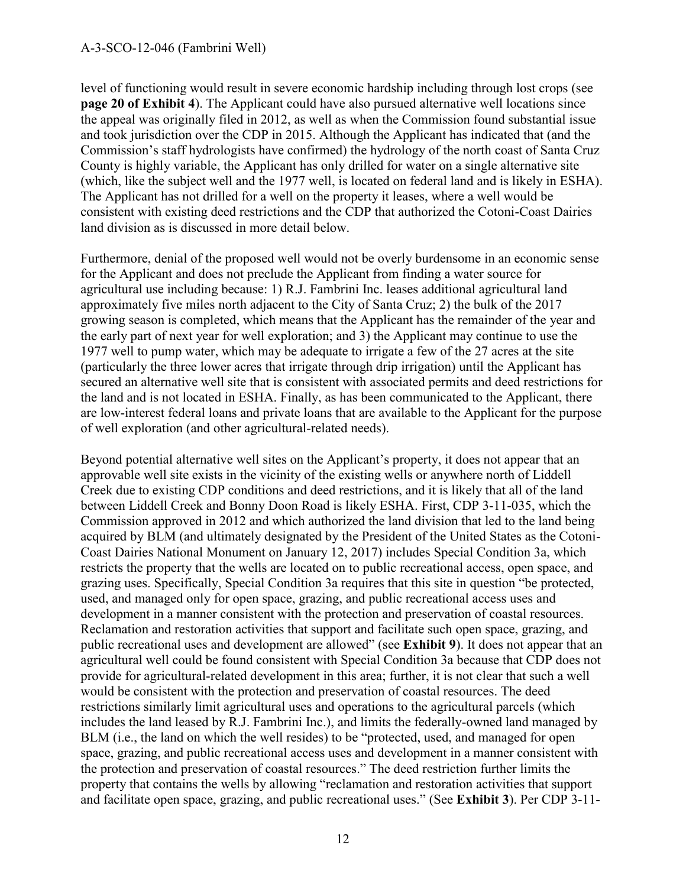level of functioning would result in severe economic hardship including through lost crops (see **page 20 of Exhibit 4**). The Applicant could have also pursued alternative well locations since the appeal was originally filed in 2012, as well as when the Commission found substantial issue and took jurisdiction over the CDP in 2015. Although the Applicant has indicated that (and the Commission's staff hydrologists have confirmed) the hydrology of the north coast of Santa Cruz County is highly variable, the Applicant has only drilled for water on a single alternative site (which, like the subject well and the 1977 well, is located on federal land and is likely in ESHA). The Applicant has not drilled for a well on the property it leases, where a well would be consistent with existing deed restrictions and the CDP that authorized the Cotoni-Coast Dairies land division as is discussed in more detail below.

Furthermore, denial of the proposed well would not be overly burdensome in an economic sense for the Applicant and does not preclude the Applicant from finding a water source for agricultural use including because: 1) R.J. Fambrini Inc. leases additional agricultural land approximately five miles north adjacent to the City of Santa Cruz; 2) the bulk of the 2017 growing season is completed, which means that the Applicant has the remainder of the year and the early part of next year for well exploration; and 3) the Applicant may continue to use the 1977 well to pump water, which may be adequate to irrigate a few of the 27 acres at the site (particularly the three lower acres that irrigate through drip irrigation) until the Applicant has secured an alternative well site that is consistent with associated permits and deed restrictions for the land and is not located in ESHA. Finally, as has been communicated to the Applicant, there are low-interest federal loans and private loans that are available to the Applicant for the purpose of well exploration (and other agricultural-related needs).

Beyond potential alternative well sites on the Applicant's property, it does not appear that an approvable well site exists in the vicinity of the existing wells or anywhere north of Liddell Creek due to existing CDP conditions and deed restrictions, and it is likely that all of the land between Liddell Creek and Bonny Doon Road is likely ESHA. First, CDP 3-11-035, which the Commission approved in 2012 and which authorized the land division that led to the land being acquired by BLM (and ultimately designated by the President of the United States as the Cotoni-Coast Dairies National Monument on January 12, 2017) includes Special Condition 3a, which restricts the property that the wells are located on to public recreational access, open space, and grazing uses. Specifically, Special Condition 3a requires that this site in question "be protected, used, and managed only for open space, grazing, and public recreational access uses and development in a manner consistent with the protection and preservation of coastal resources. Reclamation and restoration activities that support and facilitate such open space, grazing, and public recreational uses and development are allowed" (see **Exhibit 9**). It does not appear that an agricultural well could be found consistent with Special Condition 3a because that CDP does not provide for agricultural-related development in this area; further, it is not clear that such a well would be consistent with the protection and preservation of coastal resources. The deed restrictions similarly limit agricultural uses and operations to the agricultural parcels (which includes the land leased by R.J. Fambrini Inc.), and limits the federally-owned land managed by BLM (i.e., the land on which the well resides) to be "protected, used, and managed for open space, grazing, and public recreational access uses and development in a manner consistent with the protection and preservation of coastal resources." The deed restriction further limits the property that contains the wells by allowing "reclamation and restoration activities that support and facilitate open space, grazing, and public recreational uses." (See **Exhibit 3**). Per CDP 3-11-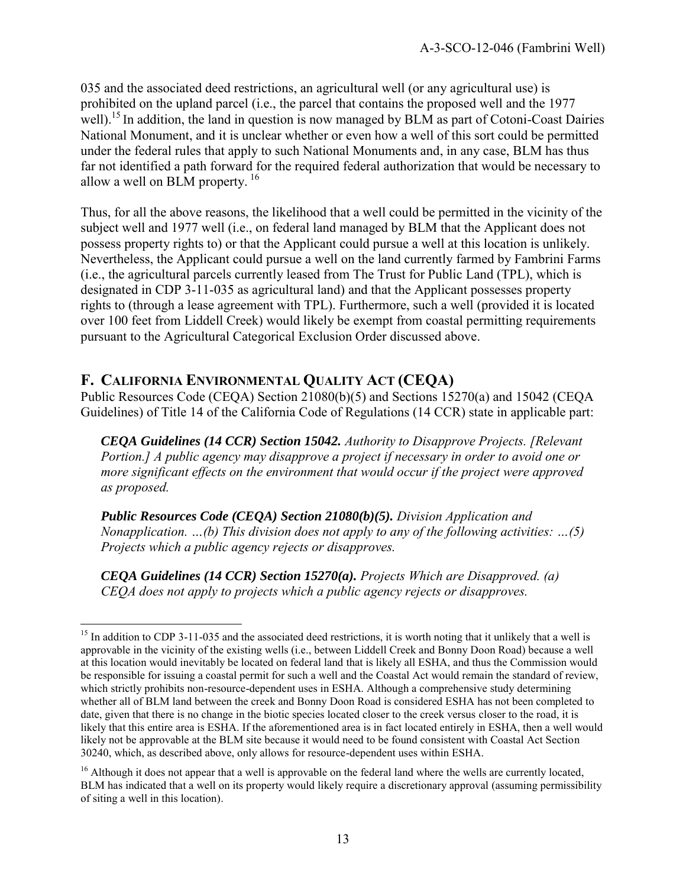035 and the associated deed restrictions, an agricultural well (or any agricultural use) is prohibited on the upland parcel (i.e., the parcel that contains the proposed well and the 1977 well).<sup>15</sup> In addition, the land in question is now managed by BLM as part of Cotoni-Coast Dairies National Monument, and it is unclear whether or even how a well of this sort could be permitted under the federal rules that apply to such National Monuments and, in any case, BLM has thus far not identified a path forward for the required federal authorization that would be necessary to allow a well on BLM property.<sup>16</sup>

Thus, for all the above reasons, the likelihood that a well could be permitted in the vicinity of the subject well and 1977 well (i.e., on federal land managed by BLM that the Applicant does not possess property rights to) or that the Applicant could pursue a well at this location is unlikely. Nevertheless, the Applicant could pursue a well on the land currently farmed by Fambrini Farms (i.e., the agricultural parcels currently leased from The Trust for Public Land (TPL), which is designated in CDP 3-11-035 as agricultural land) and that the Applicant possesses property rights to (through a lease agreement with TPL). Furthermore, such a well (provided it is located over 100 feet from Liddell Creek) would likely be exempt from coastal permitting requirements pursuant to the Agricultural Categorical Exclusion Order discussed above.

## **F. CALIFORNIA ENVIRONMENTAL QUALITY ACT (CEQA)**

 $\overline{a}$ 

Public Resources Code (CEQA) Section 21080(b)(5) and Sections 15270(a) and 15042 (CEQA Guidelines) of Title 14 of the California Code of Regulations (14 CCR) state in applicable part:

*CEQA Guidelines (14 CCR) Section 15042. Authority to Disapprove Projects. [Relevant Portion.] A public agency may disapprove a project if necessary in order to avoid one or more significant effects on the environment that would occur if the project were approved as proposed.* 

*Public Resources Code (CEQA) Section 21080(b)(5). Division Application and Nonapplication. …(b) This division does not apply to any of the following activities: …(5) Projects which a public agency rejects or disapproves.* 

*CEQA Guidelines (14 CCR) Section 15270(a). Projects Which are Disapproved. (a) CEQA does not apply to projects which a public agency rejects or disapproves.* 

 $15$  In addition to CDP 3-11-035 and the associated deed restrictions, it is worth noting that it unlikely that a well is approvable in the vicinity of the existing wells (i.e., between Liddell Creek and Bonny Doon Road) because a well at this location would inevitably be located on federal land that is likely all ESHA, and thus the Commission would be responsible for issuing a coastal permit for such a well and the Coastal Act would remain the standard of review, which strictly prohibits non-resource-dependent uses in ESHA. Although a comprehensive study determining whether all of BLM land between the creek and Bonny Doon Road is considered ESHA has not been completed to date, given that there is no change in the biotic species located closer to the creek versus closer to the road, it is likely that this entire area is ESHA. If the aforementioned area is in fact located entirely in ESHA, then a well would likely not be approvable at the BLM site because it would need to be found consistent with Coastal Act Section 30240, which, as described above, only allows for resource-dependent uses within ESHA.

<sup>&</sup>lt;sup>16</sup> Although it does not appear that a well is approvable on the federal land where the wells are currently located, BLM has indicated that a well on its property would likely require a discretionary approval (assuming permissibility of siting a well in this location).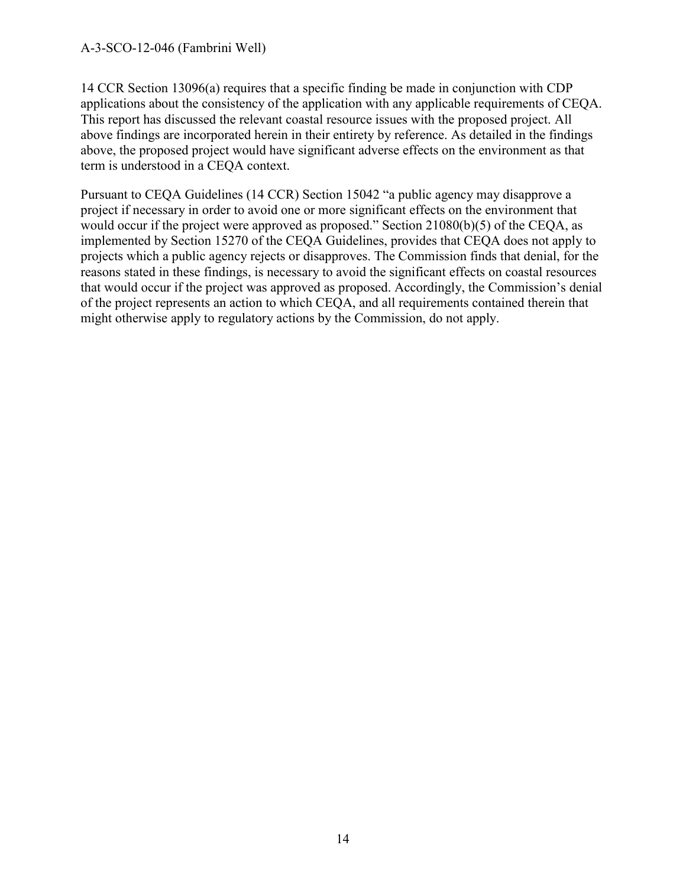14 CCR Section 13096(a) requires that a specific finding be made in conjunction with CDP applications about the consistency of the application with any applicable requirements of CEQA. This report has discussed the relevant coastal resource issues with the proposed project. All above findings are incorporated herein in their entirety by reference. As detailed in the findings above, the proposed project would have significant adverse effects on the environment as that term is understood in a CEQA context.

Pursuant to CEQA Guidelines (14 CCR) Section 15042 "a public agency may disapprove a project if necessary in order to avoid one or more significant effects on the environment that would occur if the project were approved as proposed." Section 21080(b)(5) of the CEQA, as implemented by Section 15270 of the CEQA Guidelines, provides that CEQA does not apply to projects which a public agency rejects or disapproves. The Commission finds that denial, for the reasons stated in these findings, is necessary to avoid the significant effects on coastal resources that would occur if the project was approved as proposed. Accordingly, the Commission's denial of the project represents an action to which CEQA, and all requirements contained therein that might otherwise apply to regulatory actions by the Commission, do not apply.